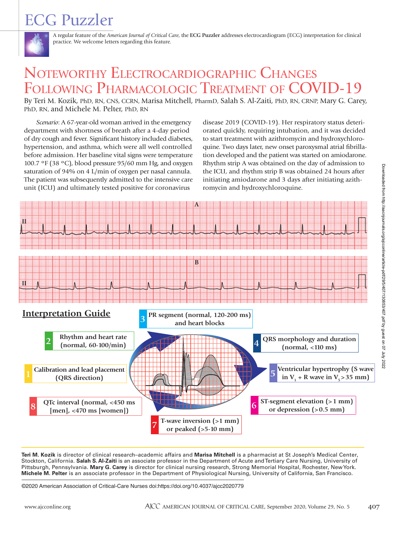# ECG Puzzler



A regular feature of the *American Journal of Critical Care*, the **ECG Puzzler** addresses electrocardiogram (ECG) interpretation for clinical practice. We welcome letters regarding this feature.

# NOTEWORTHY ELECTROCARDIOGRAPHIC CHANGES FOLLOWING PHARMACOLOGIC TREATMENT OF COVID-19

By Teri M. Kozik, PhD, RN, CNS, CCRN, Marisa Mitchell, PharmD, Salah S. Al-Zaiti, PhD, RN, CRNP, Mary G. Carey, PhD, RN, and Michele M. Pelter, PhD, RN

*Scenario*: A 67-year-old woman arrived in the emergency department with shortness of breath after a 4-day period of dry cough and fever. Significant history included diabetes, hypertension, and asthma, which were all well controlled before admission. Her baseline vital signs were temperature 100.7 ºF (38 ºC), blood pressure 95/60 mm Hg, and oxygen saturation of 94% on 4 L/min of oxygen per nasal cannula. The patient was subsequently admitted to the intensive care unit (ICU) and ultimately tested positive for coronavirus

disease 2019 (COVID-19). Her respiratory status deteriorated quickly, requiring intubation, and it was decided to start treatment with azithromycin and hydroxychloroquine. Two days later, new onset paroxysmal atrial fibrillation developed and the patient was started on amiodarone. Rhythm strip A was obtained on the day of admission to the ICU, and rhythm strip B was obtained 24 hours after initiating amiodarone and 3 days after initiating azithromycin and hydroxychloroquine.



**Teri M. Kozik** is director of clinical research–academic affairs and **Marisa Mitchell** is a pharmacist at St Joseph's Medical Center, Stockton, California. **Salah S. Al-Zaiti** is an associate professor in the Department of Acute and Tertiary Care Nursing, University of Pittsburgh, Pennsylvania. **Mary G. Carey** is director for clinical nursing research, Strong Memorial Hospital, Rochester, New York. **Michele M. Pelter** is an associate professor in the Department of Physiological Nursing, University of California, San Francisco.

©2020 American Association of Critical-Care Nurses doi:https://doi.org/10.4037/ajcc2020779